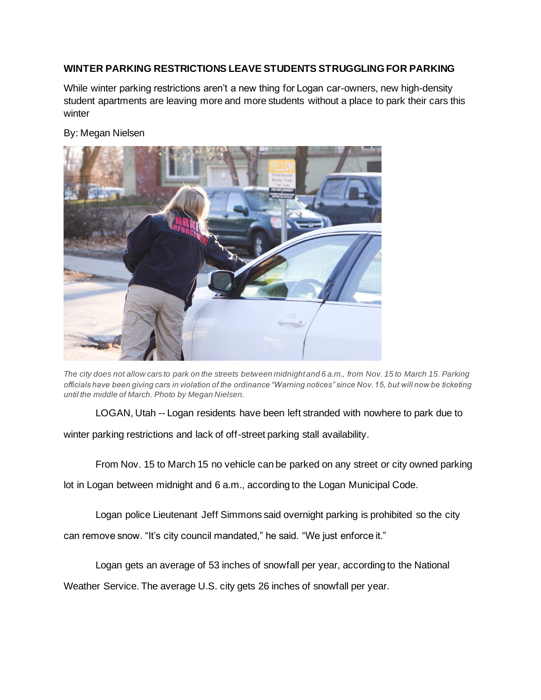## **WINTER PARKING RESTRICTIONS LEAVE STUDENTS STRUGGLING FOR PARKING**

While winter parking restrictions aren't a new thing for Logan car-owners, new high-density student apartments are leaving more and more students without a place to park their cars this winter

## By: Megan Nielsen



*The city does not allow cars to park on the streets between midnight and 6 a.m., from Nov. 15 to March 15. Parking officials have been giving cars in violation of the ordinance "Warning notices" since Nov. 15, but will now be ticketing until the middle of March. Photo by Megan Nielsen.*

LOGAN, Utah -- Logan residents have been left stranded with nowhere to park due to winter parking restrictions and lack of off-street parking stall availability.

From Nov. 15 to March 15 no vehicle can be parked on any street or city owned parking lot in Logan between midnight and 6 a.m., according to the Logan Municipal Code.

Logan police Lieutenant Jeff Simmons said overnight parking is prohibited so the city can remove snow. "It's city council mandated," he said. "We just enforce it."

Logan gets an average of 53 inches of snowfall per year, according to the National Weather Service. The average U.S. city gets 26 inches of snowfall per year.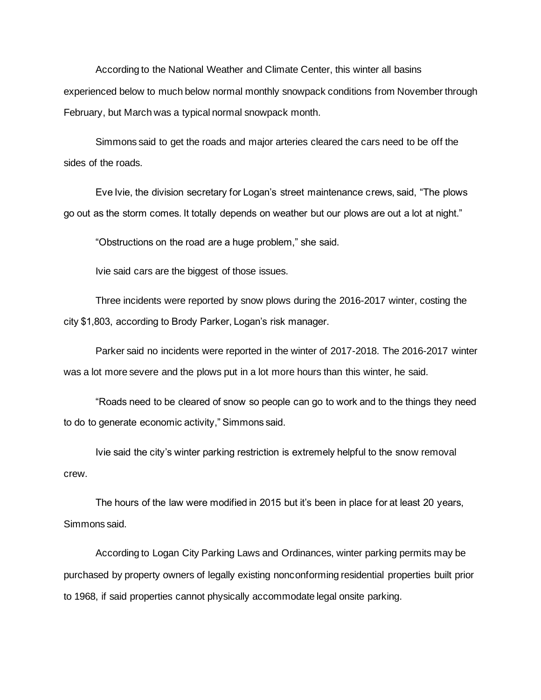According to the National Weather and Climate Center, this winter all basins experienced below to much below normal monthly snowpack conditions from November through February, but March was a typical normal snowpack month.

Simmons said to get the roads and major arteries cleared the cars need to be off the sides of the roads.

Eve Ivie, the division secretary for Logan's street maintenance crews, said, "The plows go out as the storm comes. It totally depends on weather but our plows are out a lot at night."

"Obstructions on the road are a huge problem," she said.

Ivie said cars are the biggest of those issues.

Three incidents were reported by snow plows during the 2016-2017 winter, costing the city \$1,803, according to Brody Parker, Logan's risk manager.

Parker said no incidents were reported in the winter of 2017-2018. The 2016-2017 winter was a lot more severe and the plows put in a lot more hours than this winter, he said.

"Roads need to be cleared of snow so people can go to work and to the things they need to do to generate economic activity," Simmons said.

Ivie said the city's winter parking restriction is extremely helpful to the snow removal crew.

The hours of the law were modified in 2015 but it's been in place for at least 20 years, Simmons said.

According to Logan City Parking Laws and Ordinances, winter parking permits may be purchased by property owners of legally existing nonconforming residential properties built prior to 1968, if said properties cannot physically accommodate legal onsite parking.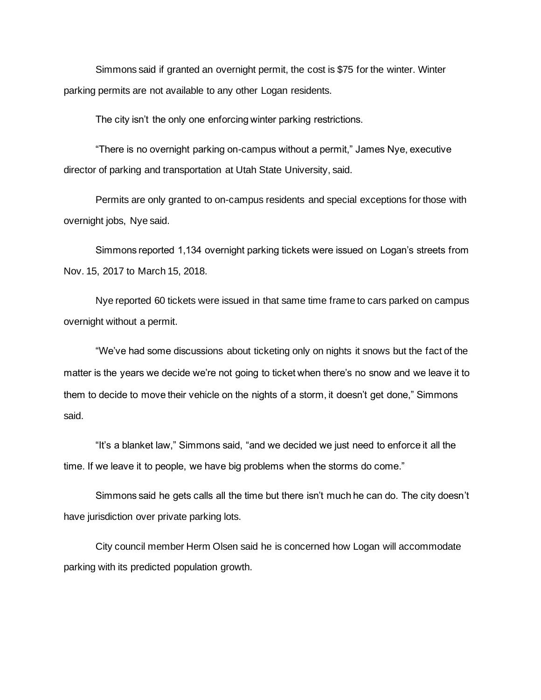Simmons said if granted an overnight permit, the cost is \$75 for the winter. Winter parking permits are not available to any other Logan residents.

The city isn't the only one enforcing winter parking restrictions.

"There is no overnight parking on-campus without a permit," James Nye, executive director of parking and transportation at Utah State University, said.

Permits are only granted to on-campus residents and special exceptions for those with overnight jobs, Nye said.

Simmons reported 1,134 overnight parking tickets were issued on Logan's streets from Nov. 15, 2017 to March 15, 2018.

Nye reported 60 tickets were issued in that same time frame to cars parked on campus overnight without a permit.

"We've had some discussions about ticketing only on nights it snows but the fact of the matter is the years we decide we're not going to ticket when there's no snow and we leave it to them to decide to move their vehicle on the nights of a storm, it doesn't get done," Simmons said.

"It's a blanket law," Simmons said, "and we decided we just need to enforce it all the time. If we leave it to people, we have big problems when the storms do come."

Simmons said he gets calls all the time but there isn't much he can do. The city doesn't have jurisdiction over private parking lots.

City council member Herm Olsen said he is concerned how Logan will accommodate parking with its predicted population growth.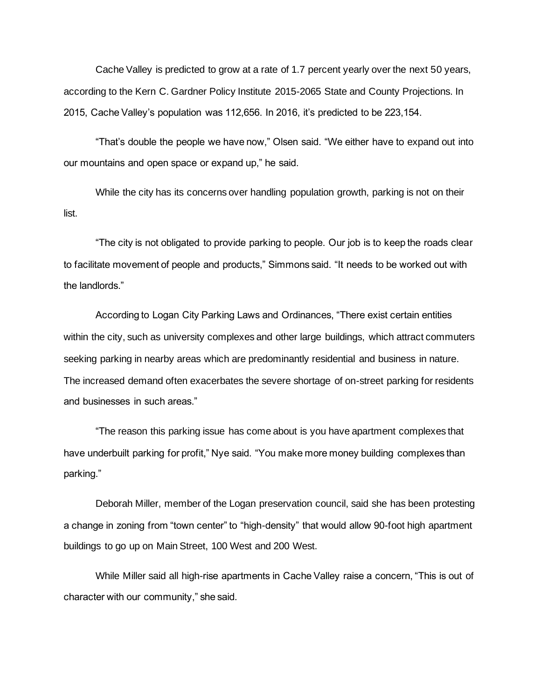Cache Valley is predicted to grow at a rate of 1.7 percent yearly over the next 50 years, according to the Kern C. Gardner Policy Institute 2015-2065 State and County Projections. In 2015, Cache Valley's population was 112,656. In 2016, it's predicted to be 223,154.

"That's double the people we have now," Olsen said. "We either have to expand out into our mountains and open space or expand up," he said.

While the city has its concerns over handling population growth, parking is not on their list.

"The city is not obligated to provide parking to people. Our job is to keep the roads clear to facilitate movement of people and products," Simmons said. "It needs to be worked out with the landlords."

According to Logan City Parking Laws and Ordinances, "There exist certain entities within the city, such as university complexes and other large buildings, which attract commuters seeking parking in nearby areas which are predominantly residential and business in nature. The increased demand often exacerbates the severe shortage of on-street parking for residents and businesses in such areas."

"The reason this parking issue has come about is you have apartment complexes that have underbuilt parking for profit," Nye said. "You make more money building complexes than parking."

Deborah Miller, member of the Logan preservation council, said she has been protesting a change in zoning from "town center" to "high-density" that would allow 90-foot high apartment buildings to go up on Main Street, 100 West and 200 West.

While Miller said all high-rise apartments in Cache Valley raise a concern, "This is out of character with our community," she said.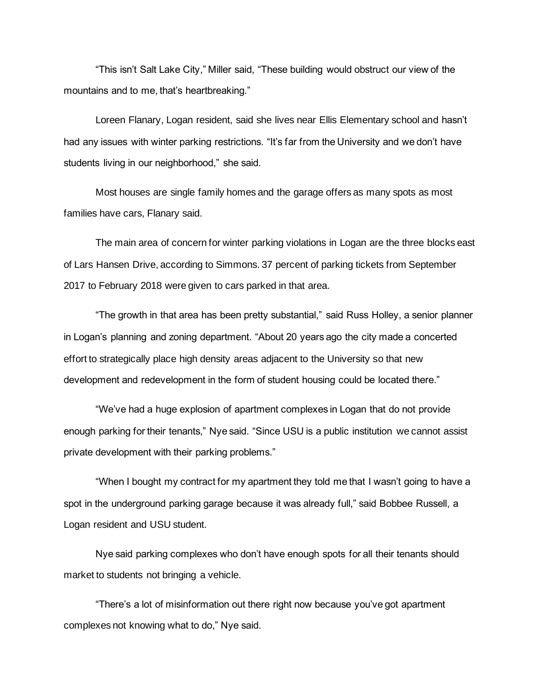"This isn't Salt Lake City," Miller said, "These building would obstruct our view of the mountains and to me, that's heartbreaking."

Loreen Flanary, Logan resident, said she lives near Ellis Elementary school and hasn't had any issues with winter parking restrictions. "It's far from the University and we don't have students living in our neighborhood," she said.

Most houses are single family homes and the garage offers as many spots as most families have cars, Flanary said.

The main area of concern for winter parking violations in Logan are the three blocks east of Lars Hansen Drive, according to Simmons. 37 percent of parking tickets from September 2017 to February 2018 were given to cars parked in that area.

"The growth in that area has been pretty substantial," said Russ Holley, a senior planner in Logan's planning and zoning department. "About 20 years ago the city made a concerted effort to strategically place high density areas adjacent to the University so that new development and redevelopment in the form of student housing could be located there."

"We've had a huge explosion of apartment complexes in Logan that do not provide enough parking for their tenants," Nye said. "Since USU is a public institution we cannot assist private development with their parking problems."

"When I bought my contract for my apartment they told me that I wasn't going to have a spot in the underground parking garage because it was already full," said Bobbee Russell, a Logan resident and USU student.

Nye said parking complexes who don't have enough spots for all their tenants should market to students not bringing a vehicle.

"There's a lot of misinformation out there right now because you've got apartment complexes not knowing what to do," Nye said.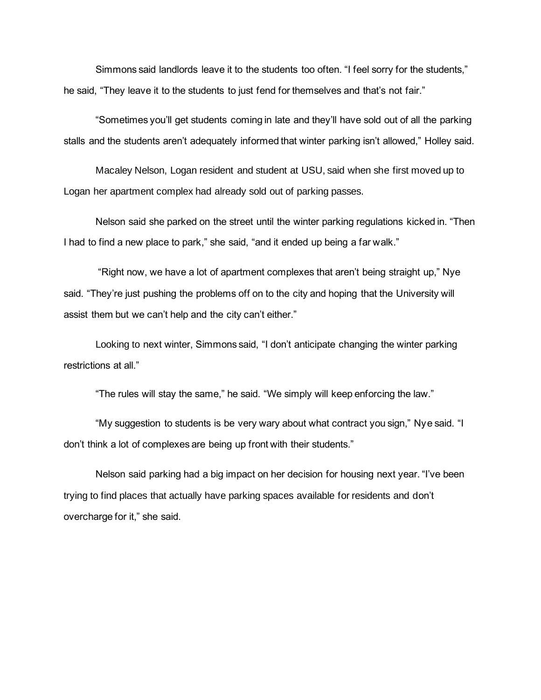Simmons said landlords leave it to the students too often. "I feel sorry for the students," he said, "They leave it to the students to just fend for themselves and that's not fair."

"Sometimes you'll get students coming in late and they'll have sold out of all the parking stalls and the students aren't adequately informed that winter parking isn't allowed," Holley said.

Macaley Nelson, Logan resident and student at USU, said when she first moved up to Logan her apartment complex had already sold out of parking passes.

Nelson said she parked on the street until the winter parking regulations kicked in. "Then I had to find a new place to park," she said, "and it ended up being a far walk."

"Right now, we have a lot of apartment complexes that aren't being straight up," Nye said. "They're just pushing the problems off on to the city and hoping that the University will assist them but we can't help and the city can't either."

Looking to next winter, Simmons said, "I don't anticipate changing the winter parking restrictions at all."

"The rules will stay the same," he said. "We simply will keep enforcing the law."

"My suggestion to students is be very wary about what contract you sign," Nye said. "I don't think a lot of complexes are being up front with their students."

Nelson said parking had a big impact on her decision for housing next year. "I've been trying to find places that actually have parking spaces available for residents and don't overcharge for it," she said.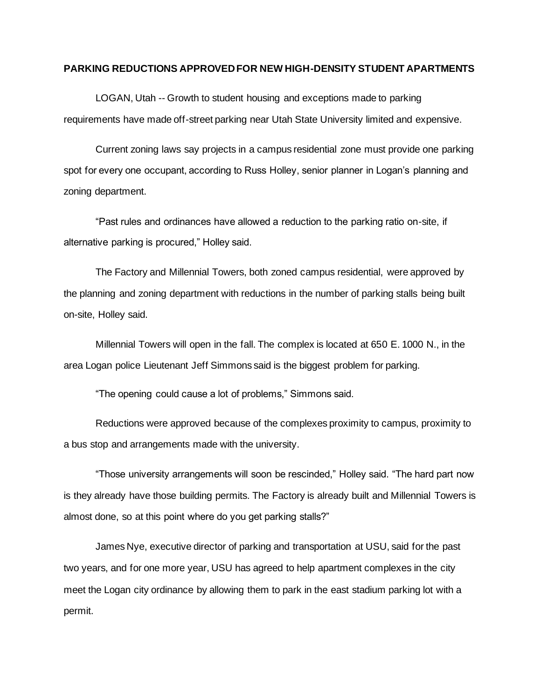## **PARKING REDUCTIONS APPROVED FOR NEW HIGH-DENSITY STUDENT APARTMENTS**

LOGAN, Utah -- Growth to student housing and exceptions made to parking requirements have made off-street parking near Utah State University limited and expensive.

Current zoning laws say projects in a campus residential zone must provide one parking spot for every one occupant, according to Russ Holley, senior planner in Logan's planning and zoning department.

"Past rules and ordinances have allowed a reduction to the parking ratio on-site, if alternative parking is procured," Holley said.

The Factory and Millennial Towers, both zoned campus residential, were approved by the planning and zoning department with reductions in the number of parking stalls being built on-site, Holley said.

Millennial Towers will open in the fall. The complex is located at 650 E. 1000 N., in the area Logan police Lieutenant Jeff Simmons said is the biggest problem for parking.

"The opening could cause a lot of problems," Simmons said.

Reductions were approved because of the complexes proximity to campus, proximity to a bus stop and arrangements made with the university.

"Those university arrangements will soon be rescinded," Holley said. "The hard part now is they already have those building permits. The Factory is already built and Millennial Towers is almost done, so at this point where do you get parking stalls?"

James Nye, executive director of parking and transportation at USU, said for the past two years, and for one more year, USU has agreed to help apartment complexes in the city meet the Logan city ordinance by allowing them to park in the east stadium parking lot with a permit.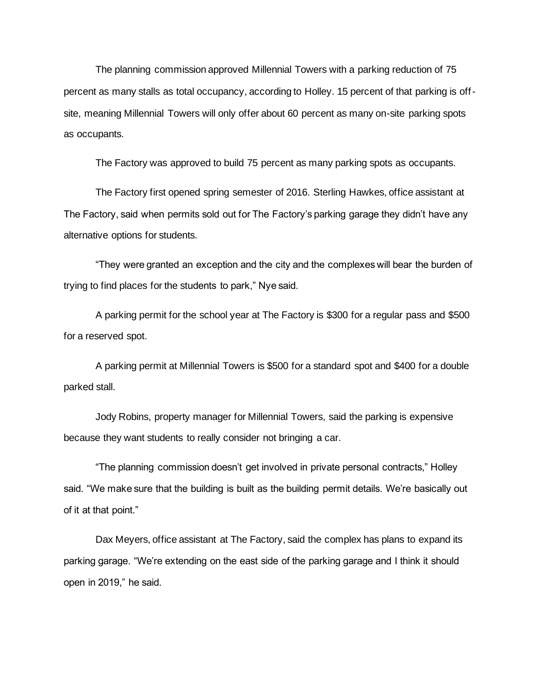The planning commission approved Millennial Towers with a parking reduction of 75 percent as many stalls as total occupancy, according to Holley. 15 percent of that parking is offsite, meaning Millennial Towers will only offer about 60 percent as many on-site parking spots as occupants.

The Factory was approved to build 75 percent as many parking spots as occupants.

The Factory first opened spring semester of 2016. Sterling Hawkes, office assistant at The Factory, said when permits sold out for The Factory's parking garage they didn't have any alternative options for students.

"They were granted an exception and the city and the complexes will bear the burden of trying to find places for the students to park," Nye said.

A parking permit for the school year at The Factory is \$300 for a regular pass and \$500 for a reserved spot.

A parking permit at Millennial Towers is \$500 for a standard spot and \$400 for a double parked stall.

Jody Robins, property manager for Millennial Towers, said the parking is expensive because they want students to really consider not bringing a car.

"The planning commission doesn't get involved in private personal contracts," Holley said. "We make sure that the building is built as the building permit details. We're basically out of it at that point."

Dax Meyers, office assistant at The Factory, said the complex has plans to expand its parking garage. "We're extending on the east side of the parking garage and I think it should open in 2019," he said.